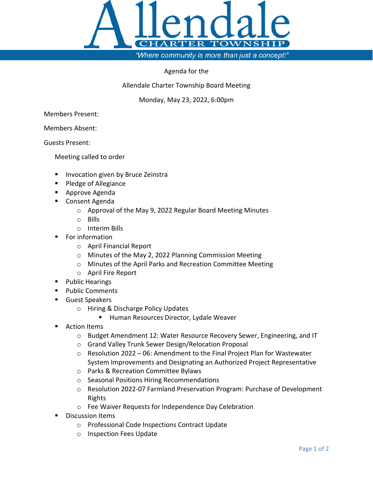

"Where community is more than just a concept!"

## Agenda for the

Allendale Charter Township Board Meeting

Monday, May 23, 2022, 6:00pm

Members Present:

Members Absent:

Guests Present:

Meeting called to order

- **Invocation given by Bruce Zeinstra**
- **Pledge of Allegiance**
- **Approve Agenda**
- Consent Agenda
	- o Approval of the May 9, 2022 Regular Board Meeting Minutes
	- o Bills
	- o Interim Bills
- For information
	- o April Financial Report
	- o Minutes of the May 2, 2022 Planning Commission Meeting
	- o Minutes of the April Parks and Recreation Committee Meeting
	- o April Fire Report
- **Public Hearings**
- **Public Comments**
- Guest Speakers
	- o Hiring & Discharge Policy Updates
		- **Human Resources Director, Lydale Weaver**
- Action Items
	- o Budget Amendment 12: Water Resource Recovery Sewer, Engineering, and IT
	- o Grand Valley Trunk Sewer Design/Relocation Proposal
	- $\circ$  Resolution 2022 06: Amendment to the Final Project Plan for Wastewater System Improvements and Designating an Authorized Project Representative
	- o Parks & Recreation Committee Bylaws
	- o Seasonal Positions Hiring Recommendations
	- o Resolution 2022-07 Farmland Preservation Program: Purchase of Development Rights
	- o Fee Waiver Requests for Independence Day Celebration
- Discussion Items
	- o Professional Code Inspections Contract Update
	- o Inspection Fees Update